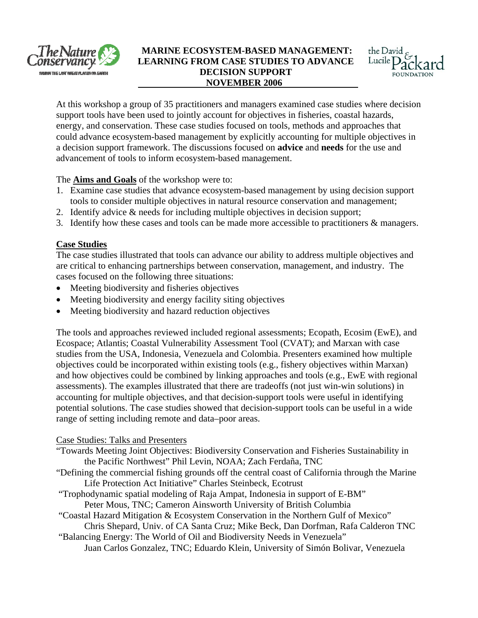

#### **MARINE ECOSYSTEM-BASED MANAGEMENT: LEARNING FROM CASE STUDIES TO ADVANCE DECISION SUPPORT NOVEMBER 2006**



At this workshop a group of 35 practitioners and managers examined case studies where decision energy, and conservation. These case studies focused on tools, methods and approaches that could advance ecosystem-based management by explicitly accounting for multiple objectives in support tools have been used to jointly account for objectives in fisheries, coastal hazards, a decision support framework. The discussions focused on **advice** and **needs** for the use and advancement of tools to inform ecosystem-based management.

The **Aims and Goals** of the workshop were to:

- 1. Examine case studies that advance ecosystem-based management by using decision support tools to consider multiple objectives in natural resource conservation and management;
- 2. Identify advice & needs for including multiple objectives in decision support;
- 3. Identify how these cases and tools can be made more accessible to practitioners  $\&$  managers.

### **ase Studies C**

The case studies illustrated that tools can advance our ability to address multiple objectives and are critical to enhancing partnerships between conservation, management, and industry. The cases focused on the following three situations:

- Meeting biodiversity and fisheries objectives
- Meeting biodiversity and energy facility siting objectives
- Meeting biodiversity and hazard reduction objectives

The tools and approaches reviewed included regional assessments; Ecopath, Ecosim (EwE), and studies from the USA, Indonesia, Venezuela and Colombia. Presenters examined how multiple and how objectives could be combined by linking approaches and tools (e.g., EwE with regional potential solutions. The case studies showed that decision-support tools can be useful in a wide Ecospace; Atlantis; Coastal Vulnerability Assessment Tool (CVAT); and Marxan with case objectives could be incorporated within existing tools (e.g., fishery objectives within Marxan) assessments). The examples illustrated that there are tradeoffs (not just win-win solutions) in accounting for multiple objectives, and that decision-support tools were useful in identifying range of setting including remote and data–poor areas.

### Case Studies: Talks and Presenters

- "Towards Meeting Joint Objectives: Biodiversity Conservation and Fisheries Sustainability in the Pacific Northwest" Phil Levin, NOAA; Zach Ferdaña, TNC
- "Defining the commercial fishing grounds off the central coast of California through the Marine Life Protection Act Initiative" Charles Steinbeck, Ecotrust
- "Trophodynamic spatial modeling of Raja Ampat, Indonesia in support of E-BM" Peter Mous, TNC; Cameron Ainsworth University of British Columbia
- "Coastal Hazard Mitigation & Ecosystem Conservation in the Northern Gulf of Mexico"
- Chris Shepard, Univ. of CA Santa Cruz; Mike Beck, Dan Dorfman, Rafa Calderon TNC "Balan cing Energy: The World of Oil and Biodiversity Needs in Venezuela"
	- Juan Carlos Gonzalez, TNC; Eduardo Klein, University of Simón Bolivar, Venezuela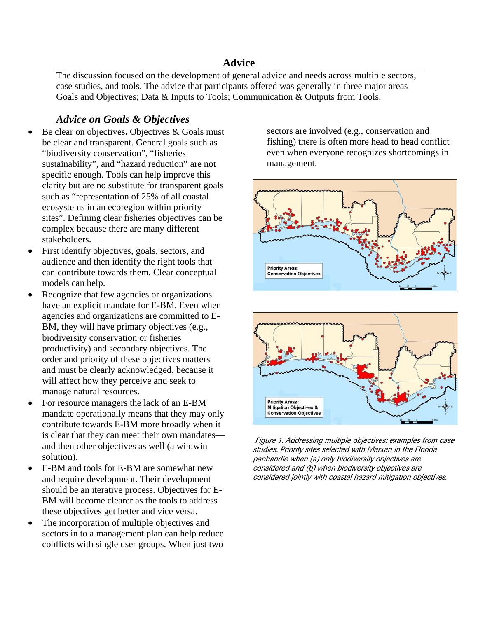## **Advice**

The discussion focused on the development of general advice and needs across multiple sectors, case studies, and tools. The advice that participants offered was generally in three major areas Goals and Objectives; Data & Inputs to Tools; Communication & Outputs from Tools.

### *Advice on Goals & Objectives*

- Be clear on objectives**.** Objectives & Goals must be clear and transparent. General goals such as "biodiversity conservation", "fisheries sustainability", and "hazard reduction" are not specific enough. Tools can help improve this clarity but are no substitute for transparent goals such as "representation of 25% of all coastal ecosystems in an ecoregion within priority sites". Defining clear fisheries objectives can be complex because there are many different stakeholders.
- First identify objectives, goals, sectors, and audience and then identify the right tools that can contribute towards them. Clear conceptual models can help.
- Recognize that few agencies or organizations have an explicit mandate for E-BM. Even when agencies and organizations are committed to E-BM, they will have primary objectives (e.g., biodiversity conservation or fisheries productivity) and secondary objectives. The order and priority of these objectives matters and must be clearly acknowledged, because it will affect how they perceive and seek to manage natural resources.
- For resource managers the lack of an E-BM mandate operationally means that they may only contribute towards E-BM more broadly when it is clear that they can meet their own mandates and then other objectives as well (a win:win solution).
- E-BM and tools for E-BM are somewhat new and require development. Their development should be an iterative process. Objectives for E-BM will become clearer as the tools to address these objectives get better and vice versa.
- The incorporation of multiple objectives and sectors in to a management plan can help reduce conflicts with single user groups. When just two

sectors are involved (e.g., conservation and fishing) there is often more head to head conflict even when everyone recognizes shortcomings in management.





 Figure 1. Addressing multiple objectives: examples from case studies. Priority sites selected with Marxan in the Florida panhandle when (a) only biodiversity objectives are considered and (b) when biodiversity objectives are considered jointly with coastal hazard mitigation objectives.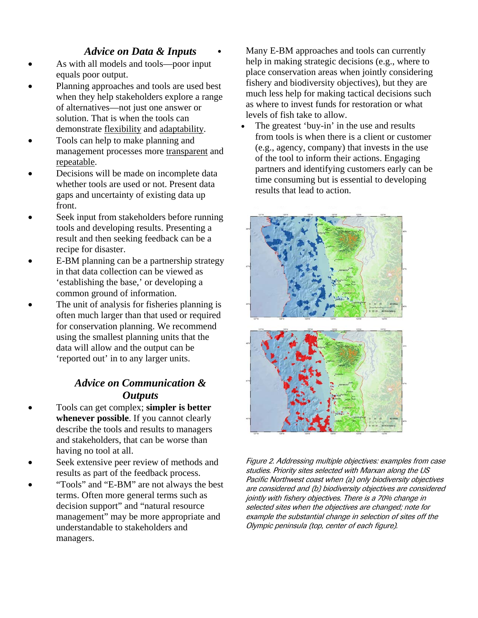## *Advice on Data & Inputs*

- As with all models and tools—poor input equals poor output.
- Planning approaches and tools are used best when they help stakeholders explore a range of alternatives—not just one answer or solution. That is when the tools can demonstrate flexibility and adaptability.
- Tools can help to make planning and management processes more transparent and repeatable.
- Decisions will be made on incomplete data whether tools are used or not. Present data gaps and uncertainty of existing data up front.
- Seek input from stakeholders before running tools and developing results. Presenting a result and then seeking feedback can be a recipe for disaster.
- E-BM planning can be a partnership strategy in that data collection can be viewed as 'establishing the base,' or developing a common ground of information.
- The unit of analysis for fisheries planning is often much larger than that used or required for conservation planning. We recommend using the smallest planning units that the data will allow and the output can be 'reported out' in to any larger units.

# *Advice on Communication & Outputs*

- Tools can get complex; **simpler is better whenever possible**. If you cannot clearly describe the tools and results to managers and stakeholders, that can be worse than having no tool at all.
- Seek extensive peer review of methods and results as part of the feedback process.
- "Tools" and "E-BM" are not always the best terms. Often more general terms such as decision support" and "natural resource management" may be more appropriate and understandable to stakeholders and managers.

Many E-BM approaches and tools can currently help in making strategic decisions (e.g., where to place conservation areas when jointly considering fishery and biodiversity objectives), but they are much less help for making tactical decisions such as where to invest funds for restoration or what levels of fish take to allow.

The greatest 'buy-in' in the use and results from tools is when there is a client or customer (e.g., agency, company) that invests in the use of the tool to inform their actions. Engaging partners and identifying customers early can be time consuming but is essential to developing results that lead to action.



Figure 2. Addressing multiple objectives: examples from case studies. Priority sites selected with Marxan along the US Pacific Northwest coast when (a) only biodiversity objectives are considered and (b) biodiversity objectives are considered jointly with fishery objectives. There is a 70% change in selected sites when the objectives are changed; note for example the substantial change in selection of sites off the Olympic peninsula (top, center of each figure).